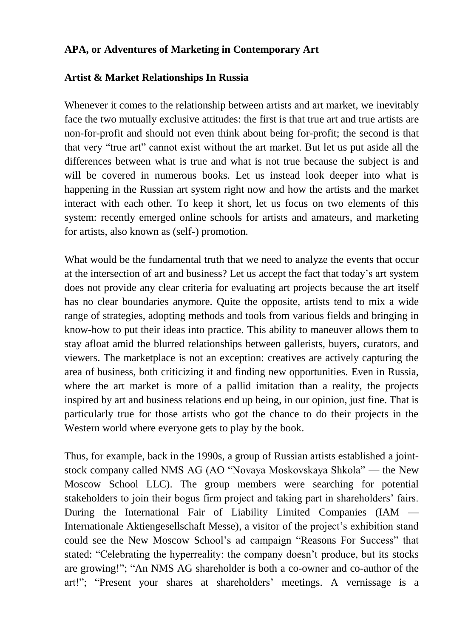## **APA, or Adventures of Marketing in Contemporary Art**

#### **Artist & Market Relationships In Russia**

Whenever it comes to the relationship between artists and art market, we inevitably face the two mutually exclusive attitudes: the first is that true art and true artists are non-for-profit and should not even think about being for-profit; the second is that that very "true art" cannot exist without the art market. But let us put aside all the differences between what is true and what is not true because the subject is and will be covered in numerous books. Let us instead look deeper into what is happening in the Russian art system right now and how the artists and the market interact with each other. To keep it short, let us focus on two elements of this system: recently emerged online schools for artists and amateurs, and marketing for artists, also known as (self-) promotion.

What would be the fundamental truth that we need to analyze the events that occur at the intersection of art and business? Let us accept the fact that today's art system does not provide any clear criteria for evaluating art projects because the art itself has no clear boundaries anymore. Quite the opposite, artists tend to mix a wide range of strategies, adopting methods and tools from various fields and bringing in know-how to put their ideas into practice. This ability to maneuver allows them to stay afloat amid the blurred relationships between gallerists, buyers, curators, and viewers. The marketplace is not an exception: creatives are actively capturing the area of business, both criticizing it and finding new opportunities. Even in Russia, where the art market is more of a pallid imitation than a reality, the projects inspired by art and business relations end up being, in our opinion, just fine. That is particularly true for those artists who got the chance to do their projects in the Western world where everyone gets to play by the book.

Thus, for example, back in the 1990s, a group of Russian artists established a jointstock company called NMS AG (AO "Novaya Moskovskaya Shkola" — the New Moscow School LLC). The group members were searching for potential stakeholders to join their bogus firm project and taking part in shareholders' fairs. During the International Fair of Liability Limited Companies (IAM — Internationale Aktiengesellschaft Messe), a visitor of the project's exhibition stand could see the New Moscow School's ad campaign "Reasons For Success" that stated: "Celebrating the hyperreality: the company doesn't produce, but its stocks are growing!"; "An NMS AG shareholder is both a co-owner and co-author of the art!"; "Present your shares at shareholders' meetings. A vernissage is a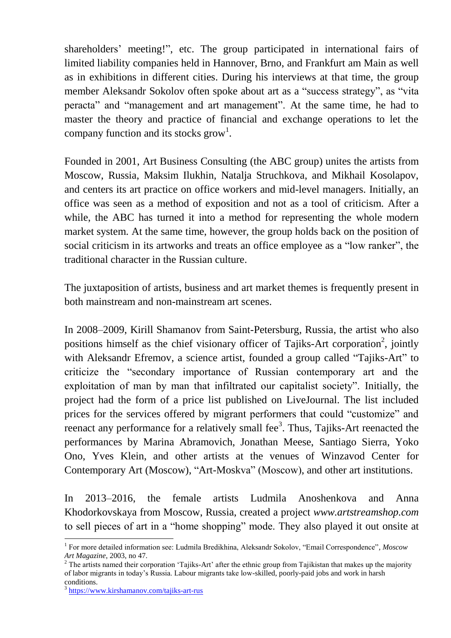shareholders' meeting!", etc. The group participated in international fairs of limited liability companies held in Hannover, Brno, and Frankfurt am Main as well as in exhibitions in different cities. During his interviews at that time, the group member Aleksandr Sokolov often spoke about art as a "success strategy", as "vita peracta" and "management and art management". At the same time, he had to master the theory and practice of financial and exchange operations to let the company function and its stocks grow<sup>1</sup>.

Founded in 2001, Art Business Consulting (the ABC group) unites the artists from Moscow, Russia, Maksim Ilukhin, Natalja Struchkova, and Mikhail Kosolapov, and centers its art practice on office workers and mid-level managers. Initially, an office was seen as a method of exposition and not as a tool of criticism. After a while, the ABC has turned it into a method for representing the whole modern market system. At the same time, however, the group holds back on the position of social criticism in its artworks and treats an office employee as a "low ranker", the traditional character in the Russian culture.

The juxtaposition of artists, business and art market themes is frequently present in both mainstream and non-mainstream art scenes.

In 2008–2009, Kirill Shamanov from Saint-Petersburg, Russia, the artist who also positions himself as the chief visionary officer of Tajiks-Art corporation<sup>2</sup>, jointly with Aleksandr Efremov, a science artist, founded a group called "Tajiks-Art" to criticize the "secondary importance of Russian contemporary art and the exploitation of man by man that infiltrated our capitalist society". Initially, the project had the form of a price list published on LiveJournal. The list included prices for the services offered by migrant performers that could "customize" and reenact any performance for a relatively small fee<sup>3</sup>. Thus, Tajiks-Art reenacted the performances by Marina Abramovich, Jonathan Meese, Santiago Sierra, Yoko Ono, Yves Klein, and other artists at the venues of Winzavod Center for Contemporary Art (Moscow), "Art-Moskva" (Moscow), and other art institutions.

In 2013–2016, the female artists Ludmila Anoshenkova and Anna Khodorkovskaya from Moscow, Russia, created a project *www.artstreamshop.com* to sell pieces of art in a "home shopping" mode. They also played it out onsite at

<sup>1</sup> For more detailed information see: Ludmila Bredikhina, Aleksandr Sokolov, "Email Correspondence"*, Moscow Art Magazine*, 2003, no 47.

 $2$  The artists named their corporation 'Tajiks-Art' after the ethnic group from Tajikistan that makes up the majority of labor migrants in today's Russia. Labour migrants take low-skilled, poorly-paid jobs and work in harsh conditions.

<sup>3</sup> <https://www.kirshamanov.com/tajiks-art-rus>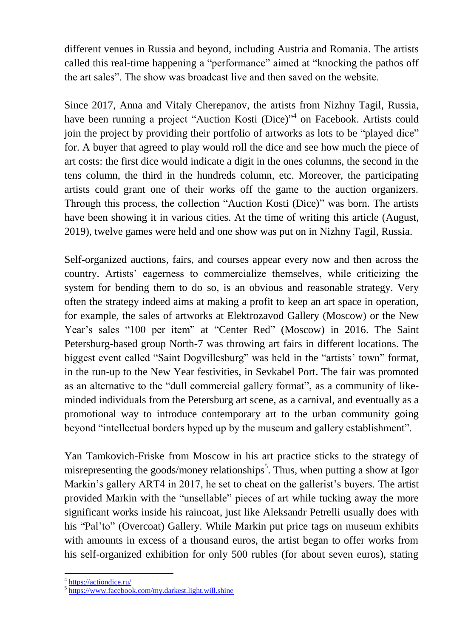different venues in Russia and beyond, including Austria and Romania. The artists called this real-time happening a "performance" aimed at "knocking the pathos off the art sales". The show was broadcast live and then saved on the website.

Since 2017, Anna and Vitaly Cherepanov, the artists from Nizhny Tagil, Russia, have been running a project "Auction Kosti (Dice)"<sup>4</sup> on Facebook. Artists could join the project by providing their portfolio of artworks as lots to be "played dice" for. A buyer that agreed to play would roll the dice and see how much the piece of art costs: the first dice would indicate a digit in the ones columns, the second in the tens column, the third in the hundreds column, etc. Moreover, the participating artists could grant one of their works off the game to the auction organizers. Through this process, the collection "Auction Kosti (Dice)" was born. The artists have been showing it in various cities. At the time of writing this article (August, 2019), twelve games were held and one show was put on in Nizhny Tagil, Russia.

Self-organized auctions, fairs, and courses appear every now and then across the country. Artists' eagerness to commercialize themselves, while criticizing the system for bending them to do so, is an obvious and reasonable strategy. Very often the strategy indeed aims at making a profit to keep an art space in operation, for example, the sales of artworks at Elektrozavod Gallery (Moscow) or the New Year's sales "100 per item" at "Center Red" (Moscow) in 2016. The Saint Petersburg-based group North-7 was throwing art fairs in different locations. The biggest event called "Saint Dogvillesburg" was held in the "artists' town" format, in the run-up to the New Year festivities, in Sevkabel Port. The fair was promoted as an alternative to the "dull commercial gallery format", as a community of likeminded individuals from the Petersburg art scene, as a carnival, and eventually as a promotional way to introduce contemporary art to the urban community going beyond "intellectual borders hyped up by the museum and gallery establishment".

Yan Tamkovich-Friske from Moscow in his art practice sticks to the strategy of misrepresenting the goods/money relationships<sup>5</sup>. Thus, when putting a show at Igor Markin's gallery ART4 in 2017, he set to cheat on the gallerist's buyers. The artist provided Markin with the "unsellable" pieces of art while tucking away the more significant works inside his raincoat, just like Aleksandr Petrelli usually does with his "Pal'to" (Overcoat) Gallery. While Markin put price tags on museum exhibits with amounts in excess of a thousand euros, the artist began to offer works from his self-organized exhibition for only 500 rubles (for about seven euros), stating

<sup>&</sup>lt;sup>4</sup> <https://actiondice.ru/>

<sup>5</sup> <https://www.facebook.com/my.darkest.light.will.shine>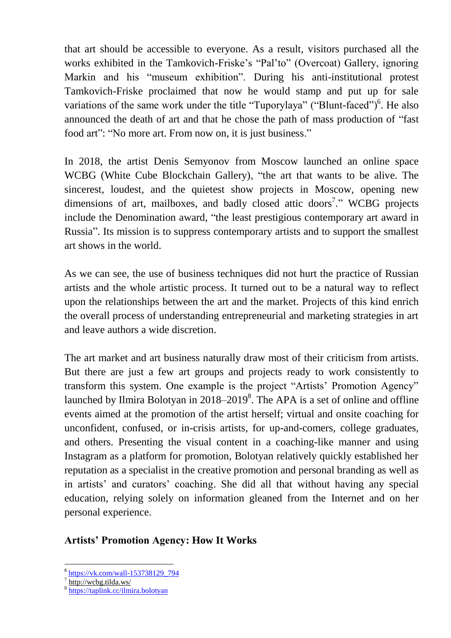that art should be accessible to everyone. As a result, visitors purchased all the works exhibited in the Tamkovich-Friske's "Pal'to" (Overcoat) Gallery, ignoring Markin and his "museum exhibition". During his anti-institutional protest Tamkovich-Friske proclaimed that now he would stamp and put up for sale variations of the same work under the title "Tuporylaya" ("Blunt-faced")<sup>6</sup>. He also announced the death of art and that he chose the path of mass production of "fast food art": "No more art. From now on, it is just business."

In 2018, the artist Denis Semyonov from Moscow launched an online space WCBG (White Cube Blockchain Gallery), "the art that wants to be alive. The sincerest, loudest, and the quietest show projects in Moscow, opening new dimensions of art, mailboxes, and badly closed attic doors<sup>7</sup>." WCBG projects include the Denomination award, "the least prestigious contemporary art award in Russia". Its mission is to suppress contemporary artists and to support the smallest art shows in the world.

As we can see, the use of business techniques did not hurt the practice of Russian artists and the whole artistic process. It turned out to be a natural way to reflect upon the relationships between the art and the market. Projects of this kind enrich the overall process of understanding entrepreneurial and marketing strategies in art and leave authors a wide discretion.

The art market and art business naturally draw most of their criticism from artists. But there are just a few art groups and projects ready to work consistently to transform this system. One example is the project "Artists' Promotion Agency" launched by Ilmira Bolotyan in  $2018-2019^8$ . The APA is a set of online and offline events aimed at the promotion of the artist herself; virtual and onsite coaching for unconfident, confused, or in-crisis artists, for up-and-comers, college graduates, and others. Presenting the visual content in a coaching-like manner and using Instagram as a platform for promotion, Bolotyan relatively quickly established her reputation as a specialist in the creative promotion and personal branding as well as in artists' and curators' coaching. She did all that without having any special education, relying solely on information gleaned from the Internet and on her personal experience.

# **Artists' Promotion Agency: How It Works**

1

<sup>&</sup>lt;sup>6</sup> [https://vk.com/wall-153738129\\_794](https://vk.com/wall-153738129_794)

<sup>7</sup> <http://wcbg.tilda.ws/>

<sup>8</sup> <https://taplink.cc/ilmira.bolotyan>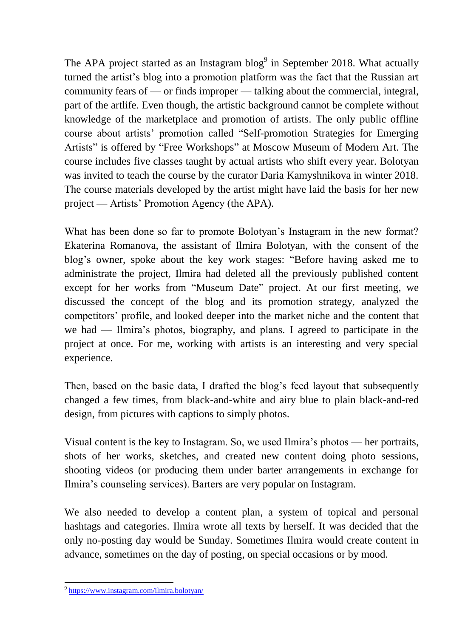The APA project started as an Instagram blog $9$  in September 2018. What actually turned the artist's blog into a promotion platform was the fact that the Russian art community fears of — or finds improper — talking about the commercial, integral, part of the artlife. Even though, the artistic background cannot be complete without knowledge of the marketplace and promotion of artists. The only public offline course about artists' promotion called "Self-promotion Strategies for Emerging Artists" is offered by "Free Workshops" at Moscow Museum of Modern Art. The course includes five classes taught by actual artists who shift every year. Bolotyan was invited to teach the course by the curator Daria Kamyshnikova in winter 2018. The course materials developed by the artist might have laid the basis for her new project — Artists' Promotion Agency (the APA).

What has been done so far to promote Bolotyan's Instagram in the new format? Ekaterina Romanova, the assistant of Ilmira Bolotyan, with the consent of the blog's owner, spoke about the key work stages: "Before having asked me to administrate the project, Ilmira had deleted all the previously published content except for her works from "Museum Date" project. At our first meeting, we discussed the concept of the blog and its promotion strategy, analyzed the competitors' profile, and looked deeper into the market niche and the content that we had — Ilmira's photos, biography, and plans. I agreed to participate in the project at once. For me, working with artists is an interesting and very special experience.

Then, based on the basic data, I drafted the blog's feed layout that subsequently changed a few times, from black-and-white and airy blue to plain black-and-red design, from pictures with captions to simply photos.

Visual content is the key to Instagram. So, we used Ilmira's photos — her portraits, shots of her works, sketches, and created new content doing photo sessions, shooting videos (or producing them under barter arrangements in exchange for Ilmira's counseling services). Barters are very popular on Instagram.

We also needed to develop a content plan, a system of topical and personal hashtags and categories. Ilmira wrote all texts by herself. It was decided that the only no-posting day would be Sunday. Sometimes Ilmira would create content in advance, sometimes on the day of posting, on special occasions or by mood.

<sup>&</sup>lt;sup>9</sup> <https://www.instagram.com/ilmira.bolotyan/>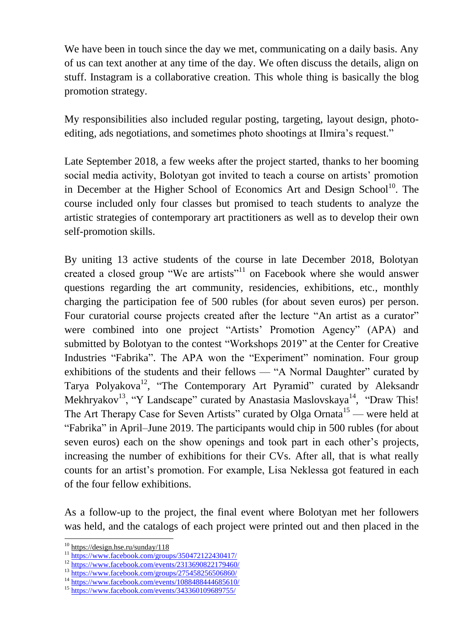We have been in touch since the day we met, communicating on a daily basis. Any of us can text another at any time of the day. We often discuss the details, align on stuff. Instagram is a collaborative creation. This whole thing is basically the blog promotion strategy.

My responsibilities also included regular posting, targeting, layout design, photoediting, ads negotiations, and sometimes photo shootings at Ilmira's request."

Late September 2018, a few weeks after the project started, thanks to her booming social media activity, Bolotyan got invited to teach a course on artists' promotion in December at the Higher School of Economics Art and Design School<sup>10</sup>. The course included only four classes but promised to teach students to analyze the artistic strategies of contemporary art practitioners as well as to develop their own self-promotion skills.

By uniting 13 active students of the course in late December 2018, Bolotyan created a closed group "We are artists"<sup>11</sup> on Facebook where she would answer questions regarding the art community, residencies, exhibitions, etc., monthly charging the participation fee of 500 rubles (for about seven euros) per person. Four curatorial course projects created after the lecture "An artist as a curator" were combined into one project "Artists' Promotion Agency" (APA) and submitted by Bolotyan to the contest "Workshops 2019" at the Center for Creative Industries "Fabrika". The APA won the "Experiment" nomination. Four group exhibitions of the students and their fellows — "A Normal Daughter" curated by Tarya Polyakova<sup>12</sup>, "The Contemporary Art Pyramid" curated by Aleksandr Mekhryakov<sup>13</sup>, "Y Landscape" curated by Anastasia Maslovskaya<sup>14</sup>, "Draw This! The Art Therapy Case for Seven Artists" curated by Olga Ornata<sup>15</sup> — were held at "Fabrika" in April–June 2019. The participants would chip in 500 rubles (for about seven euros) each on the show openings and took part in each other's projects, increasing the number of exhibitions for their CVs. After all, that is what really counts for an artist's promotion. For example, Lisa Neklessa got featured in each of the four fellow exhibitions.

As a follow-up to the project, the final event where Bolotyan met her followers was held, and the catalogs of each project were printed out and then placed in the

<sup>10</sup> <https://design.hse.ru/sunday/118>

<sup>11</sup> <https://www.facebook.com/groups/350472122430417/>

<sup>&</sup>lt;sup>12</sup> https://www<u>.facebook.com/events/2313690822179460/</u>

<sup>13</sup> <https://www.facebook.com/groups/275458256506860/>

<sup>&</sup>lt;sup>14</sup> <https://www.facebook.com/events/1088488444685610/>

<sup>15</sup> <https://www.facebook.com/events/343360109689755/>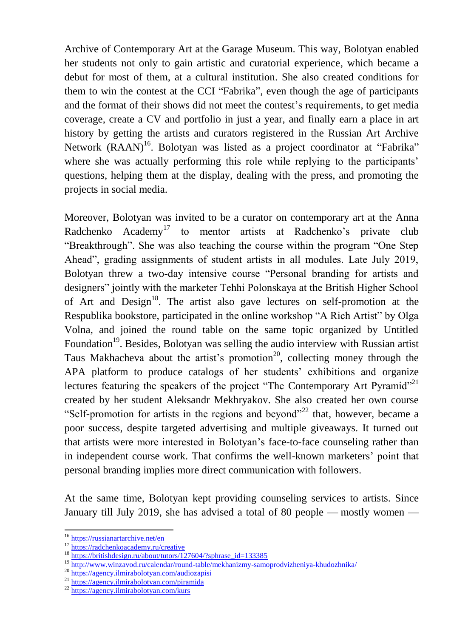Archive of Contemporary Art at the Garage Museum. This way, Bolotyan enabled her students not only to gain artistic and curatorial experience, which became a debut for most of them, at a cultural institution. She also created conditions for them to win the contest at the CCI "Fabrika", even though the age of participants and the format of their shows did not meet the contest's requirements, to get media coverage, create a CV and portfolio in just a year, and finally earn a place in art history by getting the artists and curators registered in the Russian Art Archive Network (RAAN)<sup>16</sup>. Bolotyan was listed as a project coordinator at "Fabrika" where she was actually performing this role while replying to the participants' questions, helping them at the display, dealing with the press, and promoting the projects in social media.

Moreover, Bolotyan was invited to be a curator on contemporary art at the Anna Radchenko Academy<sup>17</sup> to mentor artists at Radchenko's private club "Breakthrough". She was also teaching the course within the program "One Step Ahead", grading assignments of student artists in all modules. Late July 2019, Bolotyan threw a two-day intensive course "Personal branding for artists and designers" jointly with the marketer Тehhi Polonskaya at the British Higher School of Art and Design<sup>18</sup>. The artist also gave lectures on self-promotion at the Respublika bookstore, participated in the online workshop "A Rich Artist" by Olga Volna, and joined the round table on the same topic organized by Untitled Foundation<sup>19</sup>. Besides, Bolotyan was selling the audio interview with Russian artist Taus Makhacheva about the artist's promotion<sup>20</sup>, collecting money through the APA platform to produce catalogs of her students' exhibitions and organize lectures featuring the speakers of the project "The Contemporary Art Pyramid"<sup>21</sup> created by her student Aleksandr Mekhryakov. She also created her own course "Self-promotion for artists in the regions and beyond"<sup>22</sup> that, however, became a poor success, despite targeted advertising and multiple giveaways. It turned out that artists were more interested in Bolotyan's face-to-face counseling rather than in independent course work. That confirms the well-known marketers' point that personal branding implies more direct communication with followers.

At the same time, Bolotyan kept providing counseling services to artists. Since January till July 2019, she has advised a total of 80 people — mostly women —

 $\overline{\phantom{a}}$ 

<sup>16</sup> <https://russianartarchive.net/en>

<sup>&</sup>lt;sup>17</sup> <https://radchenkoacademy.ru/creative>

<sup>&</sup>lt;sup>18</sup> [https://britishdesign.ru/about/tutors/127604/?sphrase\\_id=133385](https://britishdesign.ru/about/tutors/127604/?sphrase_id=133385)

<sup>&</sup>lt;sup>19</sup> <http://www.winzavod.ru/calendar/round-table/mekhanizmy-samoprodvizheniya-khudozhnika/>

<sup>20</sup> <https://agency.ilmirabolotyan.com/audiozapisi>

<sup>21</sup> <https://agency.ilmirabolotyan.com/piramida>

<sup>22</sup> <https://agency.ilmirabolotyan.com/kurs>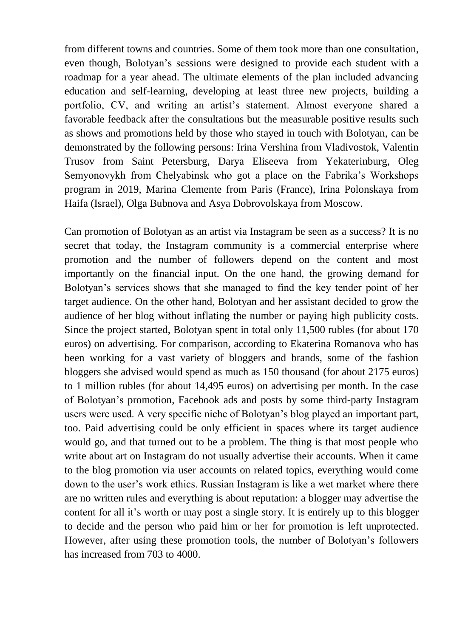from different towns and countries. Some of them took more than one consultation, even though, Bolotyan's sessions were designed to provide each student with a roadmap for a year ahead. The ultimate elements of the plan included advancing education and self-learning, developing at least three new projects, building a portfolio, CV, and writing an artist's statement. Almost everyone shared a favorable feedback after the consultations but the measurable positive results such as shows and promotions held by those who stayed in touch with Bolotyan, can be demonstrated by the following persons: Irina Vershina from Vladivostok, Valentin Trusov from Saint Petersburg, Darya Eliseeva from Yekaterinburg, Oleg Semyonovykh from Chelyabinsk who got a place on the Fabrika's Workshops program in 2019, Marina Clemente from Paris (France), Irina Polonskaya from Haifa (Israel), Olga Bubnova and Asya Dobrovolskaya from Moscow.

Can promotion of Bolotyan as an artist via Instagram be seen as a success? It is no secret that today, the Instagram community is a commercial enterprise where promotion and the number of followers depend on the content and most importantly on the financial input. On the one hand, the growing demand for Bolotyan's services shows that she managed to find the key tender point of her target audience. On the other hand, Bolotyan and her assistant decided to grow the audience of her blog without inflating the number or paying high publicity costs. Since the project started, Bolotyan spent in total only 11,500 rubles (for about 170 euros) on advertising. For comparison, according to Ekaterina Romanova who has been working for a vast variety of bloggers and brands, some of the fashion bloggers she advised would spend as much as 150 thousand (for about 2175 euros) to 1 million rubles (for about 14,495 euros) on advertising per month. In the case of Bolotyan's promotion, Facebook ads and posts by some third-party Instagram users were used. A very specific niche of Bolotyan's blog played an important part, too. Paid advertising could be only efficient in spaces where its target audience would go, and that turned out to be a problem. The thing is that most people who write about art on Instagram do not usually advertise their accounts. When it came to the blog promotion via user accounts on related topics, everything would come down to the user's work ethics. Russian Instagram is like a wet market where there are no written rules and everything is about reputation: a blogger may advertise the content for all it's worth or may post a single story. It is entirely up to this blogger to decide and the person who paid him or her for promotion is left unprotected. However, after using these promotion tools, the number of Bolotyan's followers has increased from 703 to 4000.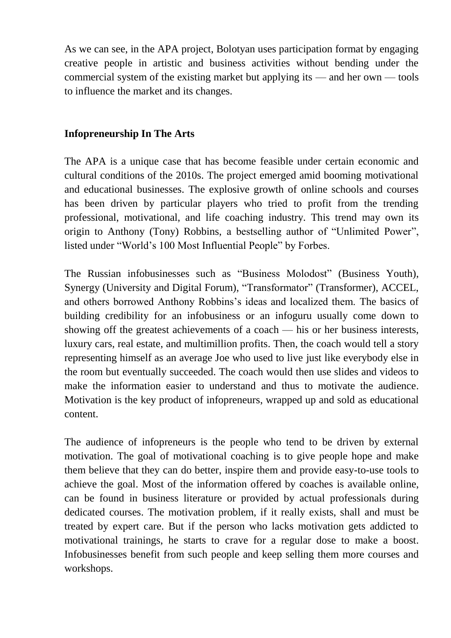As we can see, in the APA project, Bolotyan uses participation format by engaging creative people in artistic and business activities without bending under the commercial system of the existing market but applying its — and her own — tools to influence the market and its changes.

#### **Infopreneurship In The Arts**

The APA is a unique case that has become feasible under certain economic and cultural conditions of the 2010s. The project emerged amid booming motivational and educational businesses. The explosive growth of online schools and courses has been driven by particular players who tried to profit from the trending professional, motivational, and life coaching industry. This trend may own its origin to Anthony (Tony) Robbins, a bestselling author of "Unlimited Power", listed under "World's 100 Most Influential People" by Forbes.

The Russian infobusinesses such as "Business Molodost" (Business Youth), Synergy (University and Digital Forum), "Transformator" (Transformer), ACCEL, and others borrowed Anthony Robbins's ideas and localized them. The basics of building credibility for an infobusiness or an infoguru usually come down to showing off the greatest achievements of a coach — his or her business interests, luxury cars, real estate, and multimillion profits. Then, the coach would tell a story representing himself as an average Joe who used to live just like everybody else in the room but eventually succeeded. The coach would then use slides and videos to make the information easier to understand and thus to motivate the audience. Motivation is the key product of infopreneurs, wrapped up and sold as educational content.

The audience of infopreneurs is the people who tend to be driven by external motivation. The goal of motivational coaching is to give people hope and make them believe that they can do better, inspire them and provide easy-to-use tools to achieve the goal. Most of the information offered by coaches is available online, can be found in business literature or provided by actual professionals during dedicated courses. The motivation problem, if it really exists, shall and must be treated by expert care. But if the person who lacks motivation gets addicted to motivational trainings, he starts to crave for a regular dose to make a boost. Infobusinesses benefit from such people and keep selling them more courses and workshops.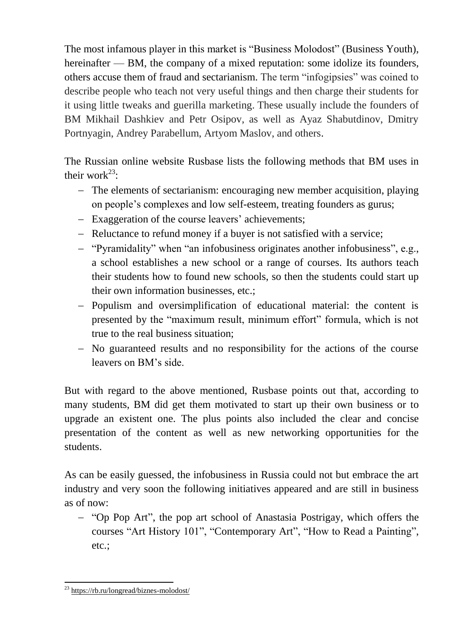The most infamous player in this market is "Business Molodost" (Business Youth), hereinafter — BM, the company of a mixed reputation: some idolize its founders, others accuse them of fraud and sectarianism. The term "infogipsies" was coined to describe people who teach not very useful things and then charge their students for it using little tweaks and guerilla marketing. These usually include the founders of BM Mikhail Dashkiev and Petr Osipov, as well as Ayaz Shabutdinov, Dmitry Portnyagin, Andrey Parabellum, Artyom Maslov, and others.

The Russian online website Rusbase lists the following methods that BM uses in their work $^{23}$ :

- The elements of sectarianism: encouraging new member acquisition, playing on people's complexes and low self-esteem, treating founders as gurus;
- Exaggeration of the course leavers' achievements;
- Reluctance to refund money if a buyer is not satisfied with a service;
- "Pyramidality" when "an infobusiness originates another infobusiness", e.g., a school establishes a new school or a range of courses. Its authors teach their students how to found new schools, so then the students could start up their own information businesses, etc.;
- Populism and oversimplification of educational material: the content is presented by the "maximum result, minimum effort" formula, which is not true to the real business situation;
- No guaranteed results and no responsibility for the actions of the course leavers on BM's side.

But with regard to the above mentioned, Rusbase points out that, according to many students, BM did get them motivated to start up their own business or to upgrade an existent one. The plus points also included the clear and concise presentation of the content as well as new networking opportunities for the students.

As can be easily guessed, the infobusiness in Russia could not but embrace the art industry and very soon the following initiatives appeared and are still in business as of now:

 "Op Pop Art", the pop art school of Anastasia Postrigay, which offers the courses "Art History 101", "Contemporary Art", "How to Read a Painting", etc.;

<sup>&</sup>lt;sup>23</sup> <https://rb.ru/longread/biznes-molodost/>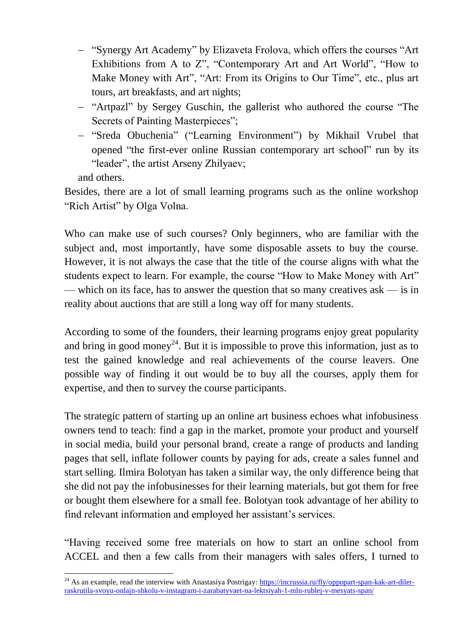- "Synergy Art Academy" by Elizaveta Frolova, which offers the courses "Art Exhibitions from A to Z", "Contemporary Art and Art World", "How to Make Money with Art", "Art: From its Origins to Our Time", etc., plus art tours, art breakfasts, and art nights;
- "Artpazl" by Sergey Guschin, the gallerist who authored the course "The Secrets of Painting Masterpieces";
- "Sreda Obuchenia" ("Learning Environment") by Mikhail Vrubel that opened "the first-ever online Russian contemporary art school" run by its "leader", the artist Arseny Zhilyaev;

and others.

**.** 

Besides, there are a lot of small learning programs such as the online workshop "Rich Artist" by Olga Volna.

Who can make use of such courses? Only beginners, who are familiar with the subject and, most importantly, have some disposable assets to buy the course. However, it is not always the case that the title of the course aligns with what the students expect to learn. For example, the course "How to Make Money with Art" — which on its face, has to answer the question that so many creatives ask — is in reality about auctions that are still a long way off for many students.

According to some of the founders, their learning programs enjoy great popularity and bring in good money<sup>24</sup>. But it is impossible to prove this information, just as to test the gained knowledge and real achievements of the course leavers. One possible way of finding it out would be to buy all the courses, apply them for expertise, and then to survey the course participants.

The strategic pattern of starting up an online art business echoes what infobusiness owners tend to teach: find a gap in the market, promote your product and yourself in social media, build your personal brand, create a range of products and landing pages that sell, inflate follower counts by paying for ads, create a sales funnel and start selling. Ilmira Bolotyan has taken a similar way, the only difference being that she did not pay the infobusinesses for their learning materials, but got them for free or bought them elsewhere for a small fee. Bolotyan took advantage of her ability to find relevant information and employed her assistant's services.

"Having received some free materials on how to start an online school from ACCEL and then a few calls from their managers with sales offers, I turned to

<sup>&</sup>lt;sup>24</sup> As an example, read the interview with Anastasiya Postrigay:  $\frac{https://incrussian.ru/fly/oppopart-span-kak-art-diler-}{}$ [raskrutila-svoyu-onlajn-shkolu-v-instagram-i-zarabatyvaet-na-lektsiyah-1-mln-rublej-v-mesyats-span/](https://incrussia.ru/fly/oppopart-span-kak-art-diler-raskrutila-svoyu-onlajn-shkolu-v-instagram-i-zarabatyvaet-na-lektsiyah-1-mln-rublej-v-mesyats-span/)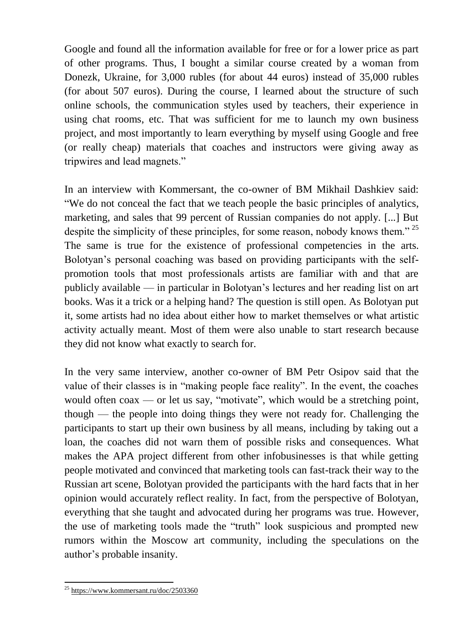Google and found all the information available for free or for a lower price as part of other programs. Thus, I bought a similar course created by a woman from Donezk, Ukraine, for 3,000 rubles (for about 44 euros) instead of 35,000 rubles (for about 507 euros). During the course, I learned about the structure of such online schools, the communication styles used by teachers, their experience in using chat rooms, etc. That was sufficient for me to launch my own business project, and most importantly to learn everything by myself using Google and free (or really cheap) materials that coaches and instructors were giving away as tripwires and lead magnets."

In an interview with Kommersant, the co-owner of BM Mikhail Dashkiev said: "We do not conceal the fact that we teach people the basic principles of analytics, marketing, and sales that 99 percent of Russian companies do not apply. [...] But despite the simplicity of these principles, for some reason, nobody knows them."<sup>25</sup> The same is true for the existence of professional competencies in the arts. Bolotyan's personal coaching was based on providing participants with the selfpromotion tools that most professionals artists are familiar with and that are publicly available — in particular in Bolotyan's lectures and her reading list on art books. Was it a trick or a helping hand? The question is still open. As Bolotyan put it, some artists had no idea about either how to market themselves or what artistic activity actually meant. Most of them were also unable to start research because they did not know what exactly to search for.

In the very same interview, another co-owner of BM Petr Osipov said that the value of their classes is in "making people face reality". In the event, the coaches would often coax — or let us say, "motivate", which would be a stretching point, though — the people into doing things they were not ready for. Challenging the participants to start up their own business by all means, including by taking out a loan, the coaches did not warn them of possible risks and consequences. What makes the APA project different from other infobusinesses is that while getting people motivated and convinced that marketing tools can fast-track their way to the Russian art scene, Bolotyan provided the participants with the hard facts that in her opinion would accurately reflect reality. In fact, from the perspective of Bolotyan, everything that she taught and advocated during her programs was true. However, the use of marketing tools made the "truth" look suspicious and prompted new rumors within the Moscow art community, including the speculations on the author's probable insanity.

<sup>&</sup>lt;sup>25</sup> <https://www.kommersant.ru/doc/2503360>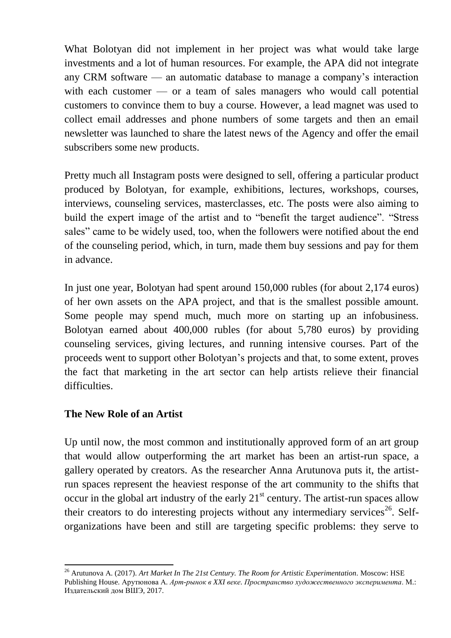What Bolotyan did not implement in her project was what would take large investments and a lot of human resources. For example, the APA did not integrate any CRM software — an automatic database to manage a company's interaction with each customer — or a team of sales managers who would call potential customers to convince them to buy a course. However, a lead magnet was used to collect email addresses and phone numbers of some targets and then an email newsletter was launched to share the latest news of the Agency and offer the email subscribers some new products.

Pretty much all Instagram posts were designed to sell, offering a particular product produced by Bolotyan, for example, exhibitions, lectures, workshops, courses, interviews, counseling services, masterclasses, etc. The posts were also aiming to build the expert image of the artist and to "benefit the target audience". "Stress sales" came to be widely used, too, when the followers were notified about the end of the counseling period, which, in turn, made them buy sessions and pay for them in advance.

In just one year, Bolotyan had spent around 150,000 rubles (for about 2,174 euros) of her own assets on the APA project, and that is the smallest possible amount. Some people may spend much, much more on starting up an infobusiness. Bolotyan earned about 400,000 rubles (for about 5,780 euros) by providing counseling services, giving lectures, and running intensive courses. Part of the proceeds went to support other Bolotyan's projects and that, to some extent, proves the fact that marketing in the art sector can help artists relieve their financial difficulties.

## **The New Role of an Artist**

1

Up until now, the most common and institutionally approved form of an art group that would allow outperforming the art market has been an artist-run space, a gallery operated by creators. As the researcher Anna Arutunova puts it, the artistrun spaces represent the heaviest response of the art community to the shifts that occur in the global art industry of the early  $21<sup>st</sup>$  century. The artist-run spaces allow their creators to do interesting projects without any intermediary services<sup>26</sup>. Selforganizations have been and still are targeting specific problems: they serve to

<sup>26</sup> Arutunova А. (2017). *Art Market In The 21st Century. The Room for Artistic Experimentation.* Moscow: HSE Publishing House. Арутюнова А. *Арт-рынок в XXI веке. Пространство художественного эксперимента*. М.: Издательский дом ВШЭ, 2017.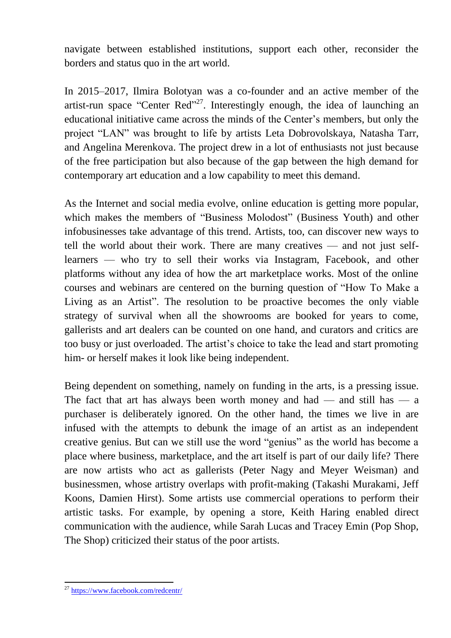navigate between established institutions, support each other, reconsider the borders and status quo in the art world.

In 2015–2017, Ilmira Bolotyan was a co-founder and an active member of the artist-run space "Center Red"<sup>27</sup>. Interestingly enough, the idea of launching an educational initiative came across the minds of the Center's members, but only the project "LAN" was brought to life by artists Leta Dobrovolskaya, Natasha Tarr, and Angelina Merenkova. The project drew in a lot of enthusiasts not just because of the free participation but also because of the gap between the high demand for contemporary art education and a low capability to meet this demand.

As the Internet and social media evolve, online education is getting more popular, which makes the members of "Business Molodost" (Business Youth) and other infobusinesses take advantage of this trend. Artists, too, can discover new ways to tell the world about their work. There are many creatives — and not just selflearners — who try to sell their works via Instagram, Facebook, and other platforms without any idea of how the art marketplace works. Most of the online courses and webinars are centered on the burning question of "How To Make a Living as an Artist". The resolution to be proactive becomes the only viable strategy of survival when all the showrooms are booked for years to come, gallerists and art dealers can be counted on one hand, and curators and critics are too busy or just overloaded. The artist's choice to take the lead and start promoting him- or herself makes it look like being independent.

Being dependent on something, namely on funding in the arts, is a pressing issue. The fact that art has always been worth money and had — and still has — a purchaser is deliberately ignored. On the other hand, the times we live in are infused with the attempts to debunk the image of an artist as an independent creative genius. But can we still use the word "genius" as the world has become a place where business, marketplace, and the art itself is part of our daily life? There are now artists who act as gallerists (Peter Nagy and Meyer Weisman) and businessmen, whose artistry overlaps with profit-making (Takashi Murakami, Jeff Koons, Damien Hirst). Some artists use commercial operations to perform their artistic tasks. For example, by opening a store, Keith Haring enabled direct communication with the audience, while Sarah Lucas and Tracey Emin (Pop Shop, The Shop) criticized their status of the poor artists.

<sup>&</sup>lt;sup>27</sup> <https://www.facebook.com/redcentr/>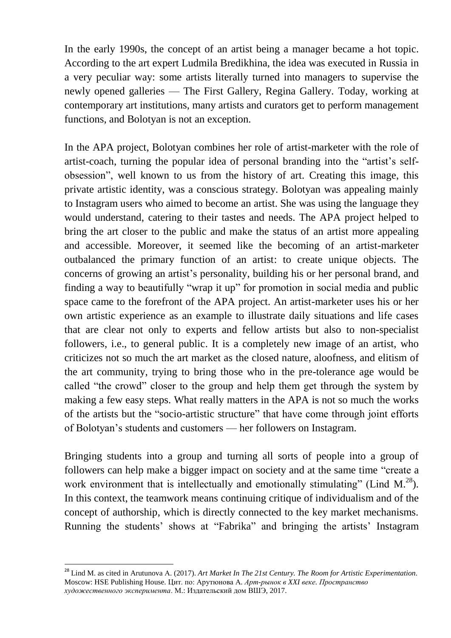In the early 1990s, the concept of an artist being a manager became a hot topic. According to the art expert Ludmila Bredikhina, the idea was executed in Russia in a very peculiar way: some artists literally turned into managers to supervise the newly opened galleries — The First Gallery, Regina Gallery. Today, working at contemporary art institutions, many artists and curators get to perform management functions, and Bolotyan is not an exception.

In the APA project, Bolotyan combines her role of artist-marketer with the role of artist-coach, turning the popular idea of personal branding into the "artist's selfobsession", well known to us from the history of art. Creating this image, this private artistic identity, was a conscious strategy. Bolotyan was appealing mainly to Instagram users who aimed to become an artist. She was using the language they would understand, catering to their tastes and needs. The APA project helped to bring the art closer to the public and make the status of an artist more appealing and accessible. Moreover, it seemed like the becoming of an artist-marketer outbalanced the primary function of an artist: to create unique objects. The concerns of growing an artist's personality, building his or her personal brand, and finding a way to beautifully "wrap it up" for promotion in social media and public space came to the forefront of the APA project. An artist-marketer uses his or her own artistic experience as an example to illustrate daily situations and life cases that are clear not only to experts and fellow artists but also to non-specialist followers, i.e., to general public. It is a completely new image of an artist, who criticizes not so much the art market as the closed nature, aloofness, and elitism of the art community, trying to bring those who in the pre-tolerance age would be called "the crowd" closer to the group and help them get through the system by making a few easy steps. What really matters in the APA is not so much the works of the artists but the "socio-artistic structure" that have come through joint efforts of Bolotyan's students and customers — her followers on Instagram.

Bringing students into a group and turning all sorts of people into a group of followers can help make a bigger impact on society and at the same time "create a work environment that is intellectually and emotionally stimulating" (Lind  $M^{28}$ ). In this context, the teamwork means continuing critique of individualism and of the concept of authorship, which is directly connected to the key market mechanisms. Running the students' shows at "Fabrika" and bringing the artists' Instagram

1

<sup>28</sup> Lind M. as cited in Arutunova А. (2017). *Art Market In The 21st Century. The Room for Artistic Experimentation.* Moscow: HSE Publishing House. Цит. по: Арутюнова А. *Арт-рынок в XXI веке. Пространство художественного эксперимента*. М.: Издательский дом ВШЭ, 2017.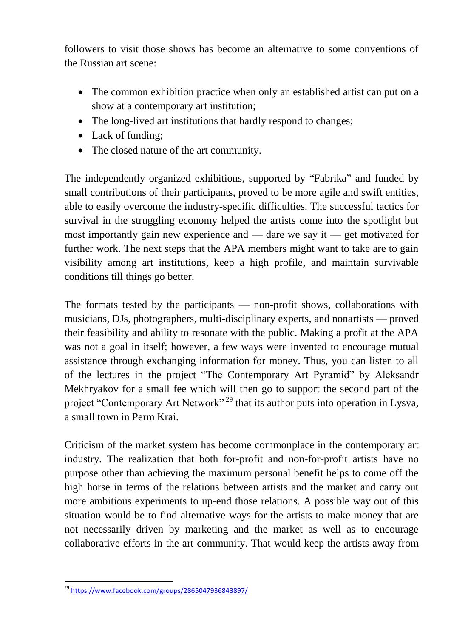followers to visit those shows has become an alternative to some conventions of the Russian art scene:

- The common exhibition practice when only an established artist can put on a show at a contemporary art institution;
- The long-lived art institutions that hardly respond to changes;
- Lack of funding;
- The closed nature of the art community.

The independently organized exhibitions, supported by "Fabrika" and funded by small contributions of their participants, proved to be more agile and swift entities, able to easily overcome the industry-specific difficulties. The successful tactics for survival in the struggling economy helped the artists come into the spotlight but most importantly gain new experience and — dare we say it — get motivated for further work. The next steps that the APA members might want to take are to gain visibility among art institutions, keep a high profile, and maintain survivable conditions till things go better.

The formats tested by the participants — non-profit shows, collaborations with musicians, DJs, photographers, multi-disciplinary experts, and nonartists — proved their feasibility and ability to resonate with the public. Making a profit at the APA was not a goal in itself; however, a few ways were invented to encourage mutual assistance through exchanging information for money. Thus, you can listen to all of the lectures in the project "The Contemporary Art Pyramid" by Aleksandr Mekhryakov for a small fee which will then go to support the second part of the project "Contemporary Art Network"<sup>29</sup> that its author puts into operation in Lysva, a small town in Perm Krai.

Criticism of the market system has become commonplace in the contemporary art industry. The realization that both for-profit and non-for-profit artists have no purpose other than achieving the maximum personal benefit helps to come off the high horse in terms of the relations between artists and the market and carry out more ambitious experiments to up-end those relations. A possible way out of this situation would be to find alternative ways for the artists to make money that are not necessarily driven by marketing and the market as well as to encourage collaborative efforts in the art community. That would keep the artists away from

**<sup>.</sup>** <sup>29</sup> <https://www.facebook.com/groups/2865047936843897/>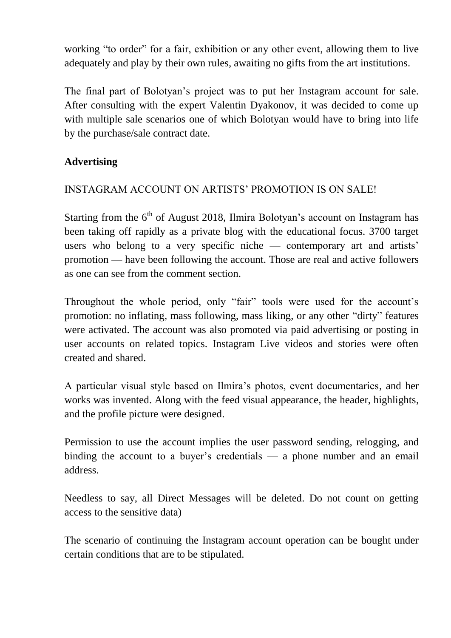working "to order" for a fair, exhibition or any other event, allowing them to live adequately and play by their own rules, awaiting no gifts from the art institutions.

The final part of Bolotyan's project was to put her Instagram account for sale. After consulting with the expert Valentin Dyakonov, it was decided to come up with multiple sale scenarios one of which Bolotyan would have to bring into life by the purchase/sale contract date.

# **Advertising**

# INSTAGRAM ACCOUNT ON ARTISTS' PROMOTION IS ON SALE!

Starting from the  $6<sup>th</sup>$  of August 2018, Ilmira Bolotyan's account on Instagram has been taking off rapidly as a private blog with the educational focus. 3700 target users who belong to a very specific niche — contemporary art and artists' promotion — have been following the account. Those are real and active followers as one can see from the comment section.

Throughout the whole period, only "fair" tools were used for the account's promotion: no inflating, mass following, mass liking, or any other "dirty" features were activated. The account was also promoted via paid advertising or posting in user accounts on related topics. Instagram Live videos and stories were often created and shared.

A particular visual style based on Ilmira's photos, event documentaries, and her works was invented. Along with the feed visual appearance, the header, highlights, and the profile picture were designed.

Permission to use the account implies the user password sending, relogging, and binding the account to a buyer's credentials — a phone number and an email address.

Needless to say, all Direct Messages will be deleted. Do not count on getting access to the sensitive data)

The scenario of continuing the Instagram account operation can be bought under certain conditions that are to be stipulated.